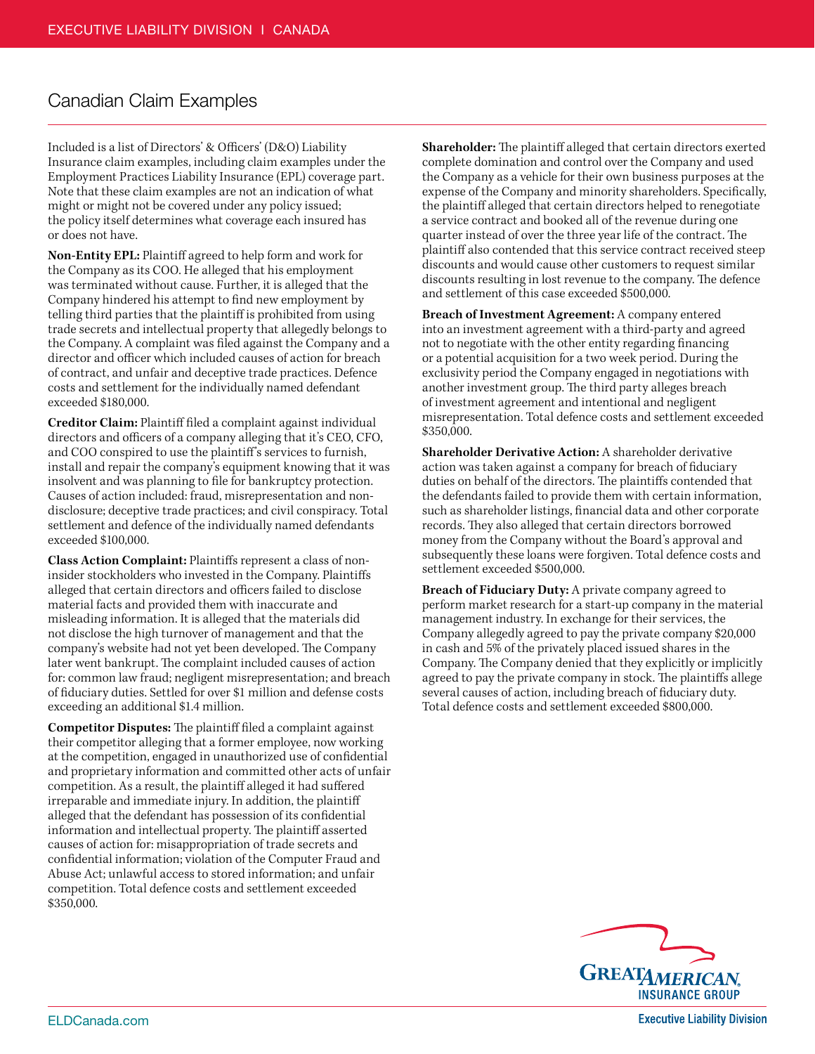## Canadian Claim Examples

Included is a list of Directors' & Officers' (D&O) Liability Insurance claim examples, including claim examples under the Employment Practices Liability Insurance (EPL) coverage part. Note that these claim examples are not an indication of what might or might not be covered under any policy issued; the policy itself determines what coverage each insured has or does not have.

**Non-Entity EPL:** Plaintiff agreed to help form and work for the Company as its COO. He alleged that his employment was terminated without cause. Further, it is alleged that the Company hindered his attempt to find new employment by telling third parties that the plaintiff is prohibited from using trade secrets and intellectual property that allegedly belongs to the Company. A complaint was filed against the Company and a director and officer which included causes of action for breach of contract, and unfair and deceptive trade practices. Defence costs and settlement for the individually named defendant exceeded \$180,000.

**Creditor Claim:** Plaintiff filed a complaint against individual directors and officers of a company alleging that it's CEO, CFO, and COO conspired to use the plaintiff's services to furnish, install and repair the company's equipment knowing that it was insolvent and was planning to file for bankruptcy protection. Causes of action included: fraud, misrepresentation and nondisclosure; deceptive trade practices; and civil conspiracy. Total settlement and defence of the individually named defendants exceeded \$100,000.

**Class Action Complaint:** Plaintiffs represent a class of noninsider stockholders who invested in the Company. Plaintiffs alleged that certain directors and officers failed to disclose material facts and provided them with inaccurate and misleading information. It is alleged that the materials did not disclose the high turnover of management and that the company's website had not yet been developed. The Company later went bankrupt. The complaint included causes of action for: common law fraud; negligent misrepresentation; and breach of fiduciary duties. Settled for over \$1 million and defense costs exceeding an additional \$1.4 million.

**Competitor Disputes:** The plaintiff filed a complaint against their competitor alleging that a former employee, now working at the competition, engaged in unauthorized use of confidential and proprietary information and committed other acts of unfair competition. As a result, the plaintiff alleged it had suffered irreparable and immediate injury. In addition, the plaintiff alleged that the defendant has possession of its confidential information and intellectual property. The plaintiff asserted causes of action for: misappropriation of trade secrets and confidential information; violation of the Computer Fraud and Abuse Act; unlawful access to stored information; and unfair competition. Total defence costs and settlement exceeded \$350,000.

**Shareholder:** The plaintiff alleged that certain directors exerted complete domination and control over the Company and used the Company as a vehicle for their own business purposes at the expense of the Company and minority shareholders. Specifically, the plaintiff alleged that certain directors helped to renegotiate a service contract and booked all of the revenue during one quarter instead of over the three year life of the contract. The plaintiff also contended that this service contract received steep discounts and would cause other customers to request similar discounts resulting in lost revenue to the company. The defence and settlement of this case exceeded \$500,000.

**Breach of Investment Agreement:** A company entered into an investment agreement with a third-party and agreed not to negotiate with the other entity regarding financing or a potential acquisition for a two week period. During the exclusivity period the Company engaged in negotiations with another investment group. The third party alleges breach of investment agreement and intentional and negligent misrepresentation. Total defence costs and settlement exceeded \$350,000.

**Shareholder Derivative Action:** A shareholder derivative action was taken against a company for breach of fiduciary duties on behalf of the directors. The plaintiffs contended that the defendants failed to provide them with certain information, such as shareholder listings, financial data and other corporate records. They also alleged that certain directors borrowed money from the Company without the Board's approval and subsequently these loans were forgiven. Total defence costs and settlement exceeded \$500,000.

**Breach of Fiduciary Duty:** A private company agreed to perform market research for a start-up company in the material management industry. In exchange for their services, the Company allegedly agreed to pay the private company \$20,000 in cash and 5% of the privately placed issued shares in the Company. The Company denied that they explicitly or implicitly agreed to pay the private company in stock. The plaintiffs allege several causes of action, including breach of fiduciary duty. Total defence costs and settlement exceeded \$800,000.



**Executive Liability Division**